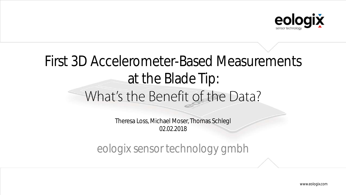

# First 3D Accelerometer-Based Measurements at the Blade Tip: What's the Benefit of the Data?

Theresa Loss, Michael Moser, Thomas Schlegl 02.02.2018

eologix sensor technology gmbh

www.eologix.com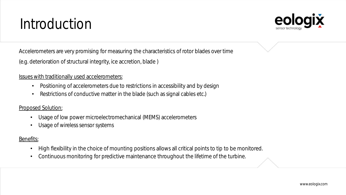# Introduction



Accelerometers are very promising for measuring the characteristics of rotor blades over time

(e.g. deterioration of structural integrity, ice accretion, blade )

#### Issues with traditionally used accelerometers:

- Positioning of accelerometers due to restrictions in accessibility and by design
- Restrictions of conductive matter in the blade (such as signal cables etc.)

#### Proposed Solution:

- Usage of low power microelectromechanical (MEMS) accelerometers
- Usage of wireless sensor systems

#### Benefits:

- High flexibility in the choice of mounting positions allows all critical points to tip to be monitored.
- Continuous monitoring for predictive maintenance throughout the lifetime of the turbine.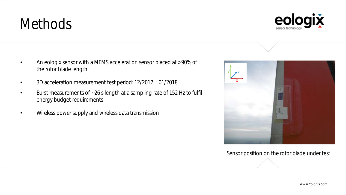### **Methods**

- An eologix sensor with a MEMS acceleration sensor placed at >90% of the rotor blade length
- 3D acceleration measurement test period: 12/2017 01/2018
- Burst measurements of ~26 s length at a sampling rate of 152 Hz to fulfil energy budget requirements
- Wireless power supply and wireless data transmission

Sensor position on the rotor blade under test



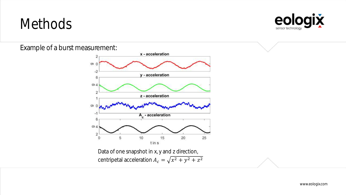### Methods



Example of a burst measurement:

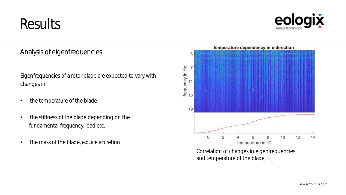

### Analysis of eigenfrequencies

Eigenfrequencies of a rotor blade are expected to vary with changes in

- the temperature of the blade
- the stiffness of the blade depending on the fundamental frequency, load etc.
- the mass of the blade, e.g. ice accretion

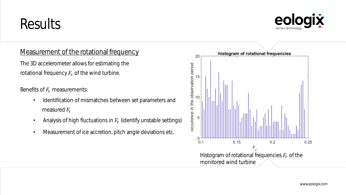

#### Measurement of the rotational frequency

The 3D accelerometer allows for estimating the rotational frequency  $F_r$  of the wind turbine.

Benefits of  $F_r$  measurements:

- Identification of mismatches between set parameters and measured  $F_r$
- Analysis of high fluctuations in  $F_{\bm r}$  (identify unstable settings)
- Measurement of ice accretion, pitch angle deviations etc.

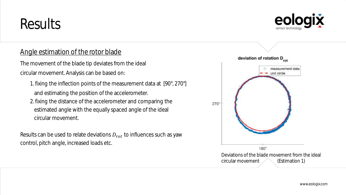### Angle estimation of the rotor blade

The movement of the blade tip deviates from the ideal circular movement. Analysis can be based on:

- 1. fixing the inflection points of the measurement data at [90°, 270°] and estimating the position of the accelerometer.
- 2. fixing the distance of the accelerometer and comparing the estimated angle with the equally spaced angle of the ideal circular movement.

Results can be used to relate deviations  $D_{rot}$  to influences such as yaw control, pitch angle, increased loads etc.

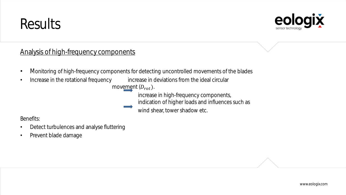

### Analysis of high-frequency components

- Monitoring of high-frequency components for detecting uncontrolled movements of the blades
- Increase in the rotational frequency increase in deviations from the ideal circular movement  $(D_{rot})$ .

increase in high-frequency components, indication of higher loads and influences such as

wind shear, tower shadow etc.

Benefits:

- Detect turbulences and analyse fluttering
- Prevent blade damage

www.eologix.com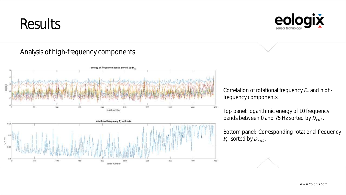

### Analysis of high-frequency components



Correlation of rotational frequency  $F_r$  and highfrequency components.

Top panel: logarithmic energy of 10 frequency bands between 0 and 75 Hz sorted by  $D_{rot}$ .

Bottom panel: Corresponding rotational frequency  $F_r$  sorted by  $D_{rot}$ .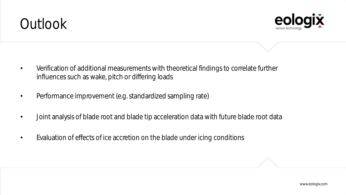# Outlook



- Verification of additional measurements with theoretical findings to correlate further influences such as wake, pitch or differing loads
- Performance improvement (e.g. standardized sampling rate)
- Joint analysis of blade root and blade tip acceleration data with future blade root data
- Evaluation of effects of ice accretion on the blade under icing conditions